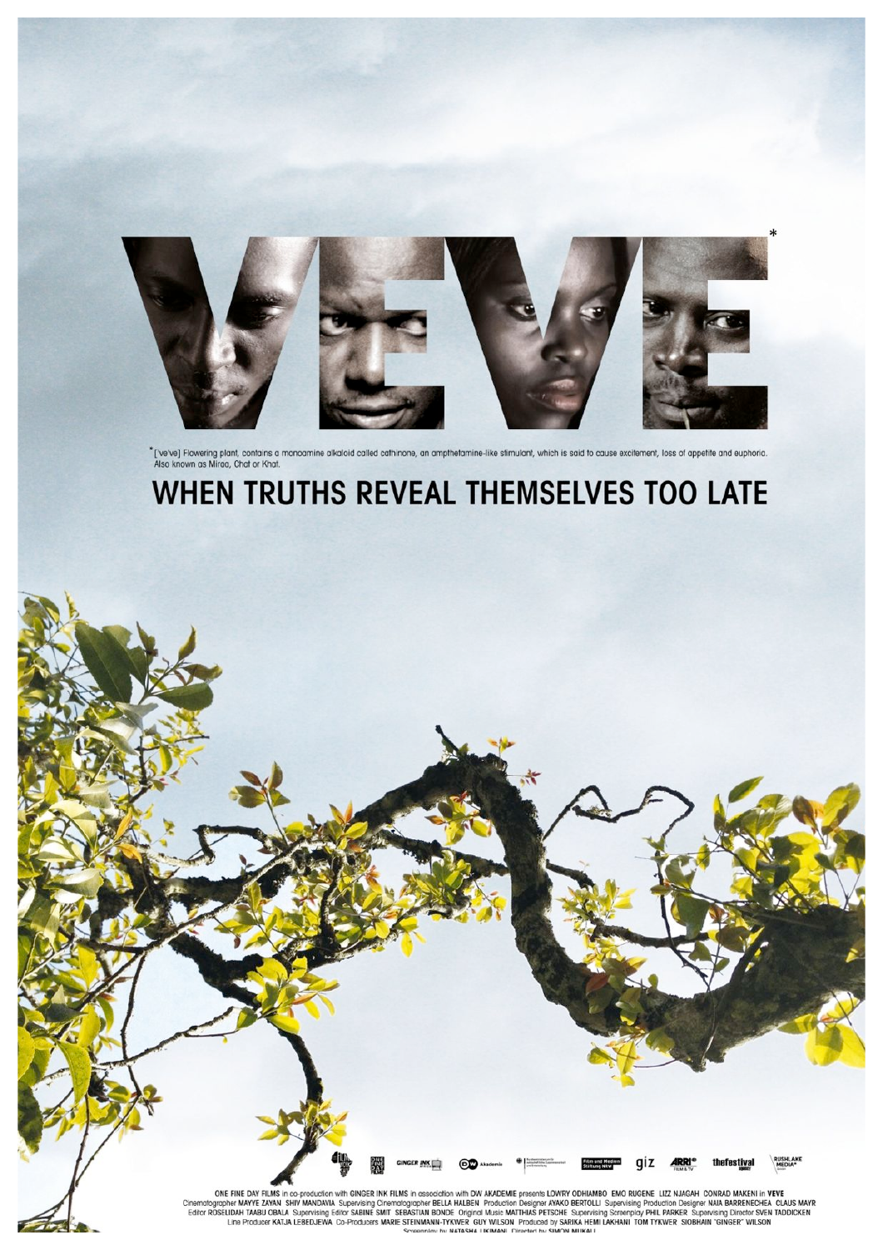

\* ['ve've] Flowering plant, contains a monoamine alkaloid called cathinone, an ampthetamine-like stimulant, which is said to cause excitement, loss of appetite and euphoria.<br>Also known as Miraa, Chat or Khat.

# WHEN TRUTHS REVEAL THEMSELVES TOO LATE

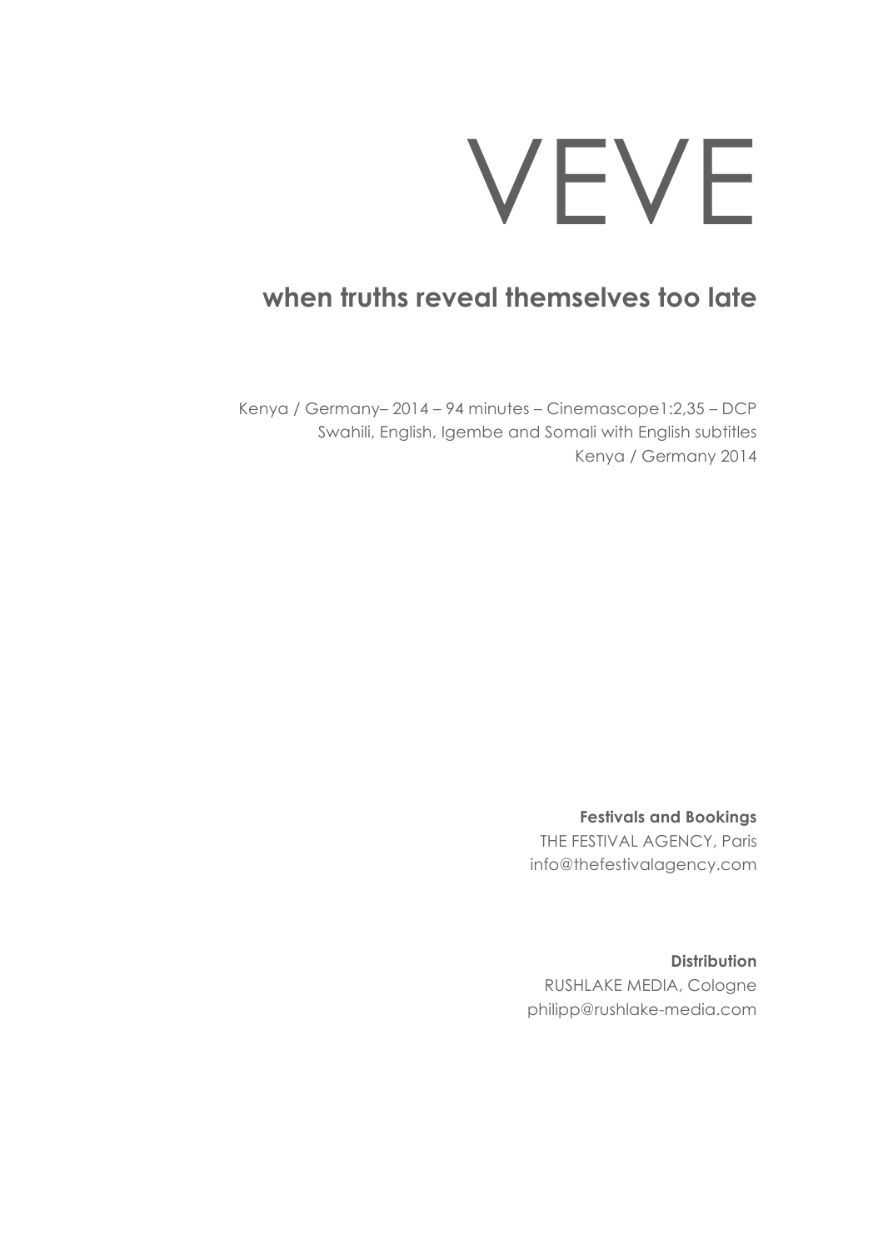# VEVE

# **when truths reveal themselves too late**

Kenya / Germany– 2014 – 94 minutes – Cinemascope1:2,35 – DCP Swahili, English, Igembe and Somali with English subtitles Kenya / Germany 2014

> **Festivals and Bookings** THE FESTIVAL AGENCY, Paris info@thefestivalagency.com

> **Distribution** RUSHLAKE MEDIA, Cologne philipp@rushlake-media.com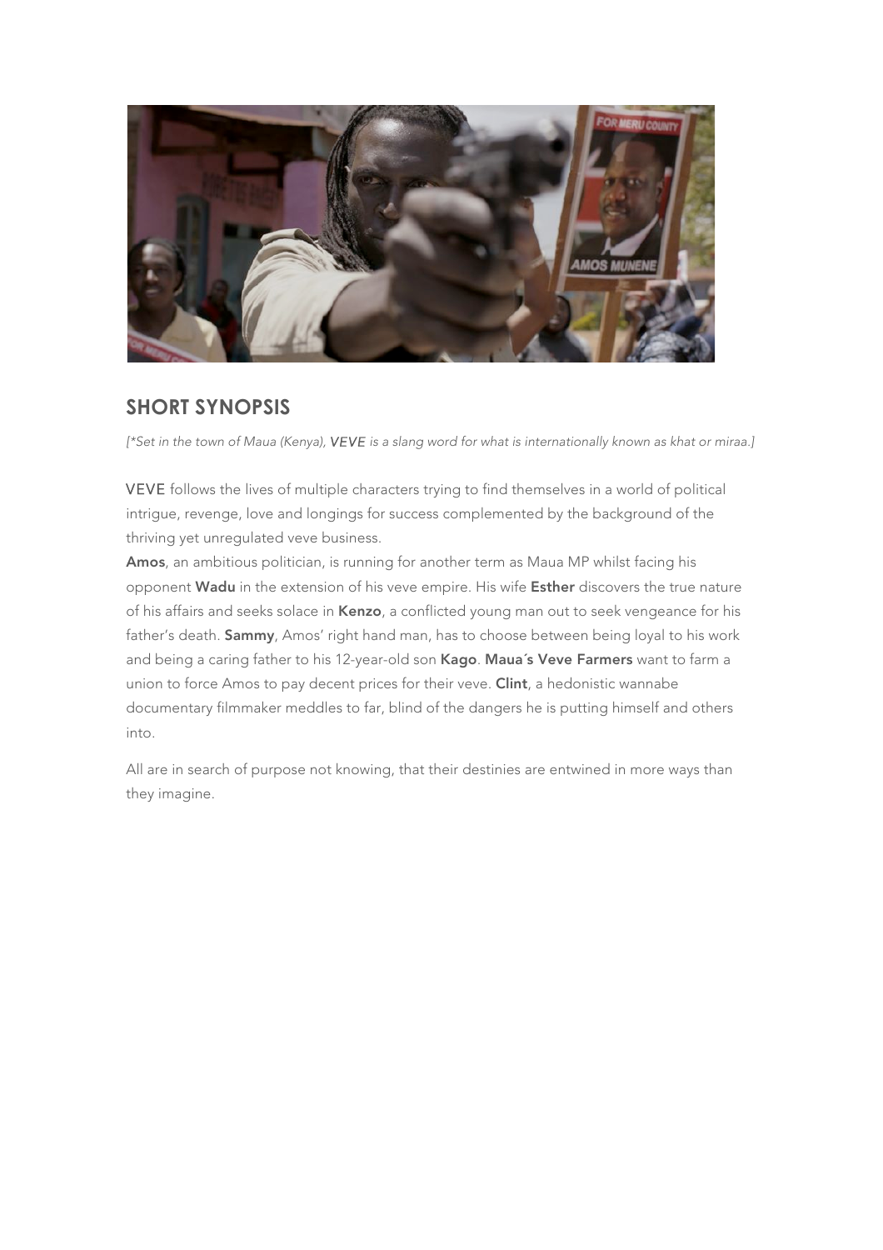

#### **SHORT SYNOPSIS**

*[\*Set in the town of Maua (Kenya), VEVE is a slang word for what is internationally known as khat or miraa.]*

VEVE follows the lives of multiple characters trying to find themselves in a world of political intrigue, revenge, love and longings for success complemented by the background of the thriving yet unregulated veve business.

Amos, an ambitious politician, is running for another term as Maua MP whilst facing his opponent Wadu in the extension of his veve empire. His wife Esther discovers the true nature of his affairs and seeks solace in Kenzo, a conflicted young man out to seek vengeance for his father's death. Sammy, Amos' right hand man, has to choose between being loyal to his work and being a caring father to his 12-year-old son Kago. Maua's Veve Farmers want to farm a union to force Amos to pay decent prices for their veve. Clint, a hedonistic wannabe documentary filmmaker meddles to far, blind of the dangers he is putting himself and others into.

All are in search of purpose not knowing, that their destinies are entwined in more ways than they imagine.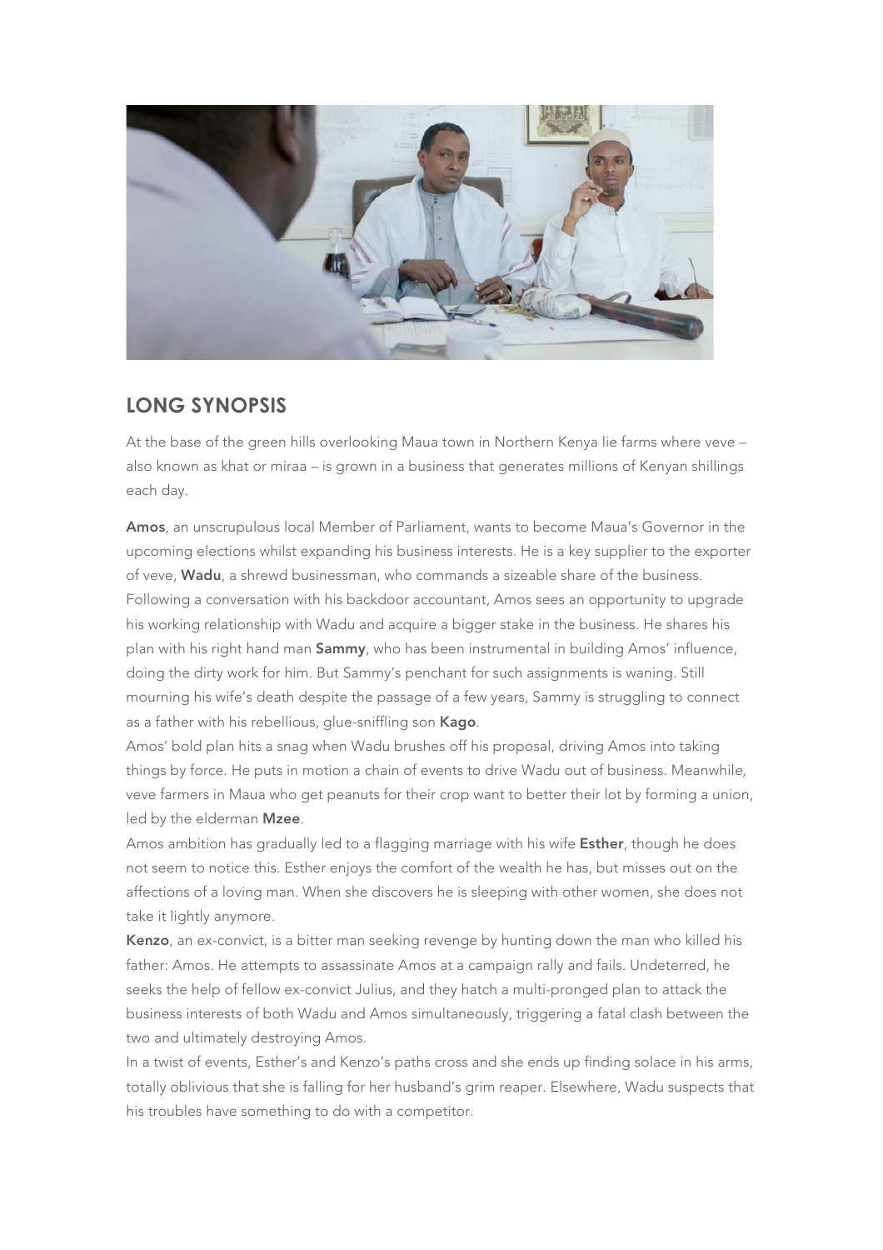

#### **LONG SYNOPSIS**

At the base of the green hills overlooking Maua town in Northern Kenya lie farms where veve – also known as khat or miraa *–* is grown in a business that generates millions of Kenyan shillings each day.

Amos, an unscrupulous local Member of Parliament, wants to become Maua's Governor in the upcoming elections whilst expanding his business interests. He is a key supplier to the exporter of veve, Wadu, a shrewd businessman, who commands a sizeable share of the business. Following a conversation with his backdoor accountant, Amos sees an opportunity to upgrade his working relationship with Wadu and acquire a bigger stake in the business. He shares his plan with his right hand man **Sammy**, who has been instrumental in building Amos' influence, doing the dirty work for him. But Sammy's penchant for such assignments is waning. Still mourning his wife's death despite the passage of a few years, Sammy is struggling to connect as a father with his rebellious, glue-sniffling son Kago.

Amos' bold plan hits a snag when Wadu brushes off his proposal, driving Amos into taking things by force. He puts in motion a chain of events to drive Wadu out of business. Meanwhil*e,*  veve farmers in Maua who get peanuts for their crop want to better their lot by forming a union, led by the elderman Mzee.

Amos ambition has gradually led to a flagging marriage with his wife **Esther**, though he does not seem to notice this. Esther enjoys the comfort of the wealth he has, but misses out on the affections of a loving man. When she discovers he is sleeping with other women, she does not take it lightly anymore.

Kenzo, an ex-convict, is a bitter man seeking revenge by hunting down the man who killed his father: Amos. He attempts to assassinate Amos at a campaign rally and fails. Undeterred, he seeks the help of fellow ex-convict Julius, and they hatch a multi-pronged plan to attack the business interests of both Wadu and Amos simultaneously, triggering a fatal clash between the two and ultimately destroying Amos.

In a twist of events, Esther's and Kenzo's paths cross and she ends up finding solace in his arms, totally oblivious that she is falling for her husband's grim reaper. Elsewhere, Wadu suspects that his troubles have something to do with a competitor.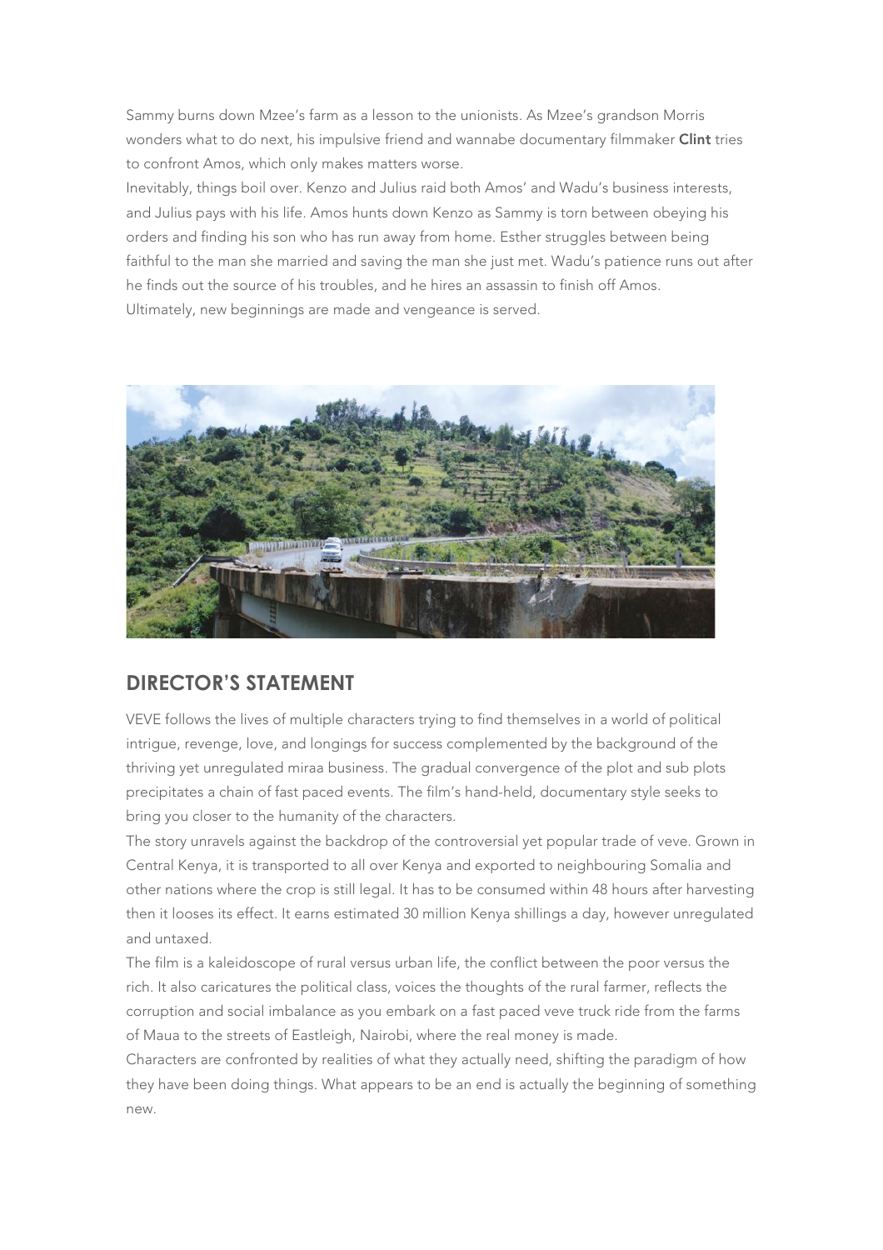Sammy burns down Mzee's farm as a lesson to the unionists. As Mzee's grandson Morris wonders what to do next, his impulsive friend and wannabe documentary filmmaker Clint tries to confront Amos, which only makes matters worse.

Inevitably, things boil over. Kenzo and Julius raid both Amos' and Wadu's business interests, and Julius pays with his life. Amos hunts down Kenzo as Sammy is torn between obeying his orders and finding his son who has run away from home. Esther struggles between being faithful to the man she married and saving the man she just met. Wadu's patience runs out after he finds out the source of his troubles, and he hires an assassin to finish off Amos. Ultimately, new beginnings are made and vengeance is served.



#### **DIRECTOR'S STATEMENT**

VEVE follows the lives of multiple characters trying to find themselves in a world of political intrigue, revenge, love, and longings for success complemented by the background of the thriving yet unregulated miraa business. The gradual convergence of the plot and sub plots precipitates a chain of fast paced events. The film's hand-held, documentary style seeks to bring you closer to the humanity of the characters.

The story unravels against the backdrop of the controversial yet popular trade of veve. Grown in Central Kenya, it is transported to all over Kenya and exported to neighbouring Somalia and other nations where the crop is still legal. It has to be consumed within 48 hours after harvesting then it looses its effect. It earns estimated 30 million Kenya shillings a day, however unregulated and untaxed.

The film is a kaleidoscope of rural versus urban life, the conflict between the poor versus the rich. It also caricatures the political class, voices the thoughts of the rural farmer, reflects the corruption and social imbalance as you embark on a fast paced veve truck ride from the farms of Maua to the streets of Eastleigh, Nairobi, where the real money is made.

Characters are confronted by realities of what they actually need, shifting the paradigm of how they have been doing things. What appears to be an end is actually the beginning of something new.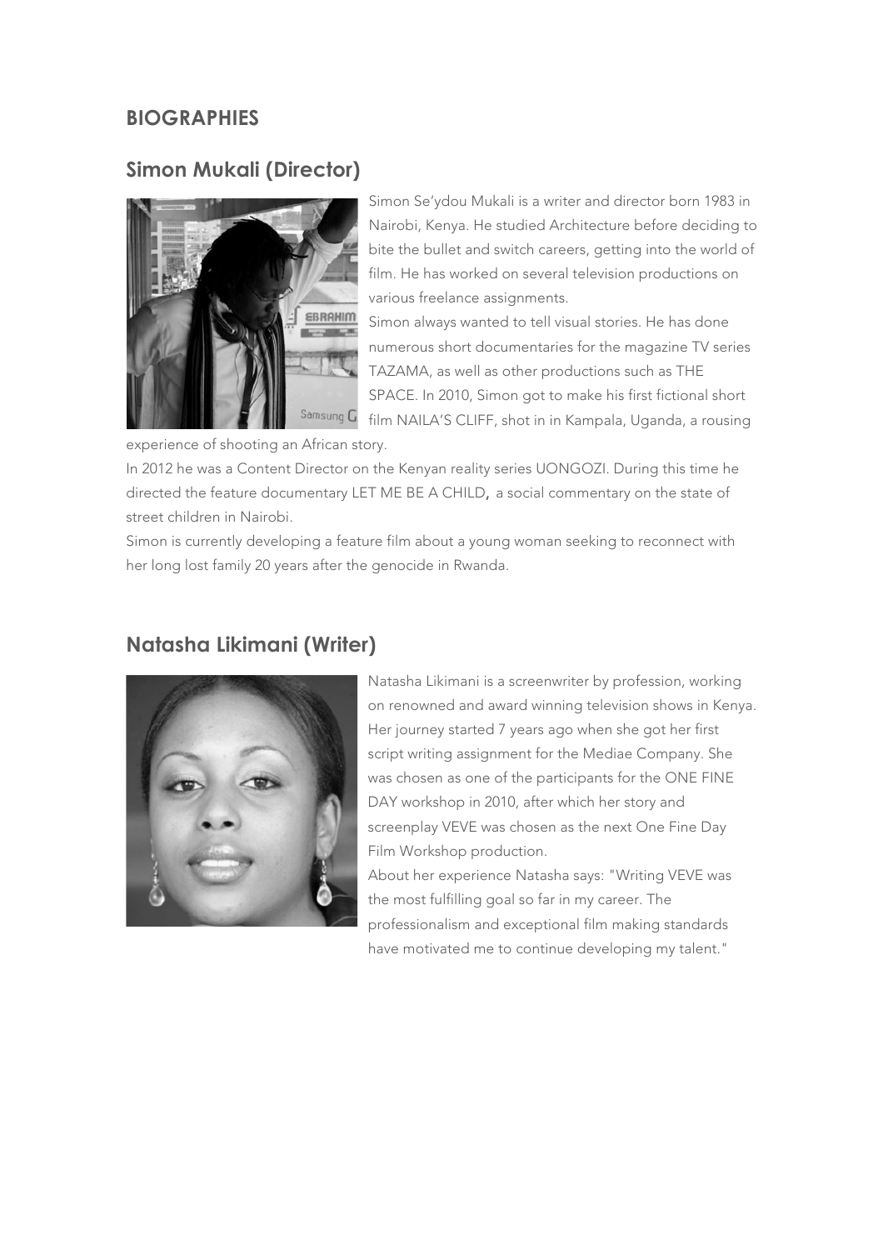#### **BIOGRAPHIES**

#### **Simon Mukali (Director)**



Simon Se'ydou Mukali is a writer and director born 1983 in Nairobi, Kenya. He studied Architecture before deciding to bite the bullet and switch careers, getting into the world of film. He has worked on several television productions on various freelance assignments.

Simon always wanted to tell visual stories. He has done numerous short documentaries for the magazine TV series TAZAMA, as well as other productions such as THE SPACE. In 2010, Simon got to make his first fictional short film NAILA'S CLIFF, shot in in Kampala, Uganda, a rousing

experience of shooting an African story.

In 2012 he was a Content Director on the Kenyan reality series UONGOZI. During this time he directed the feature documentary LET ME BE A CHILD, a social commentary on the state of street children in Nairobi.

Simon is currently developing a feature film about a young woman seeking to reconnect with her long lost family 20 years after the genocide in Rwanda.



#### **Natasha Likimani (Writer)**

Natasha Likimani is a screenwriter by profession, working on renowned and award winning television shows in Kenya. Her journey started 7 years ago when she got her first script writing assignment for the Mediae Company. She was chosen as one of the participants for the ONE FINE DAY workshop in 2010, after which her story and screenplay VEVE was chosen as the next One Fine Day Film Workshop production.

About her experience Natasha says: "Writing VEVE was the most fulfilling goal so far in my career. The professionalism and exceptional film making standards have motivated me to continue developing my talent."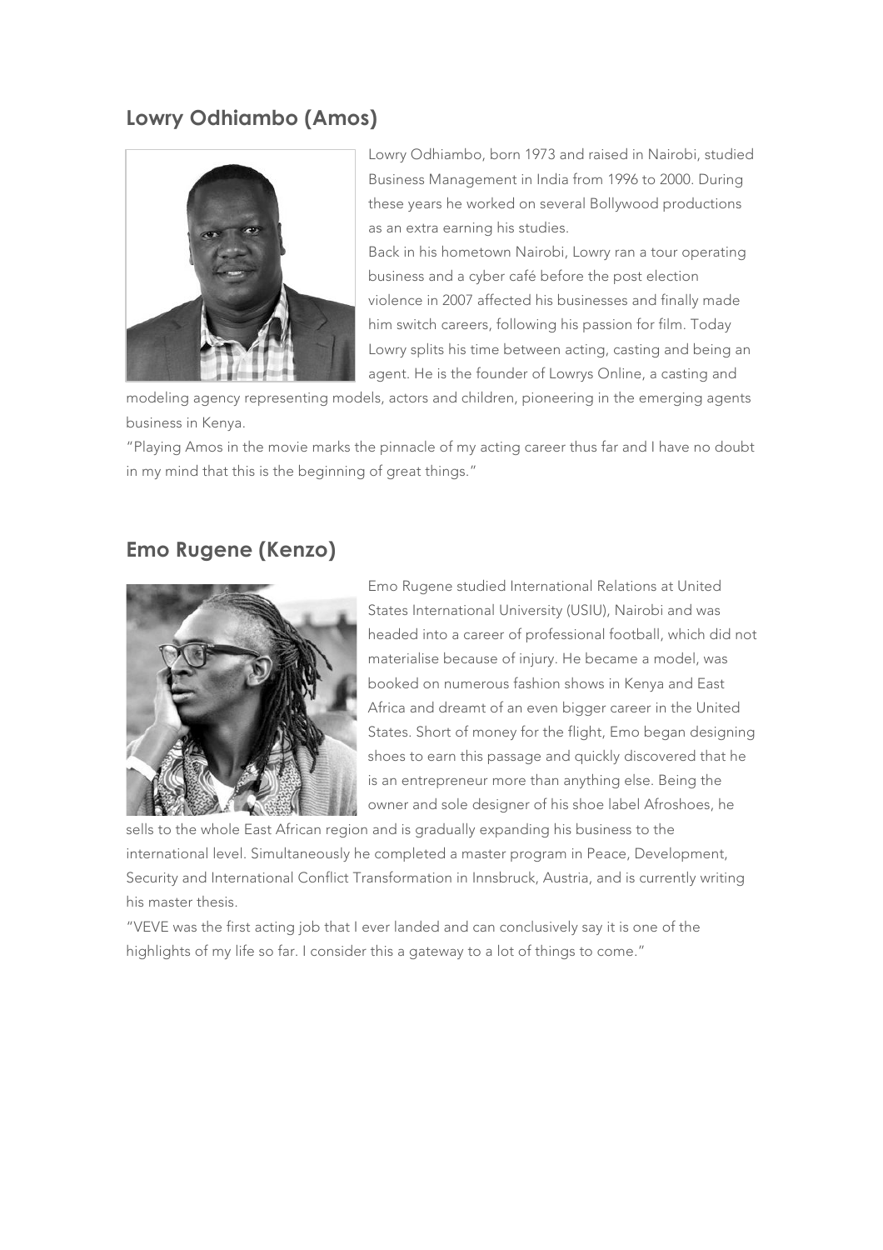#### **Lowry Odhiambo (Amos)**



Lowry Odhiambo, born 1973 and raised in Nairobi, studied Business Management in India from 1996 to 2000. During these years he worked on several Bollywood productions as an extra earning his studies.

Back in his hometown Nairobi, Lowry ran a tour operating business and a cyber café before the post election violence in 2007 affected his businesses and finally made him switch careers, following his passion for film. Today Lowry splits his time between acting, casting and being an agent. He is the founder of Lowrys Online, a casting and

modeling agency representing models, actors and children, pioneering in the emerging agents business in Kenya.

"Playing Amos in the movie marks the pinnacle of my acting career thus far and I have no doubt in my mind that this is the beginning of great things."

#### **Emo Rugene (Kenzo)**



Emo Rugene studied International Relations at United States International University (USIU), Nairobi and was headed into a career of professional football, which did not materialise because of injury. He became a model, was booked on numerous fashion shows in Kenya and East Africa and dreamt of an even bigger career in the United States. Short of money for the flight, Emo began designing shoes to earn this passage and quickly discovered that he is an entrepreneur more than anything else. Being the owner and sole designer of his shoe label Afroshoes, he

sells to the whole East African region and is gradually expanding his business to the international level. Simultaneously he completed a master program in Peace, Development, Security and International Conflict Transformation in Innsbruck, Austria, and is currently writing his master thesis.

"VEVE was the first acting job that I ever landed and can conclusively say it is one of the highlights of my life so far. I consider this a gateway to a lot of things to come."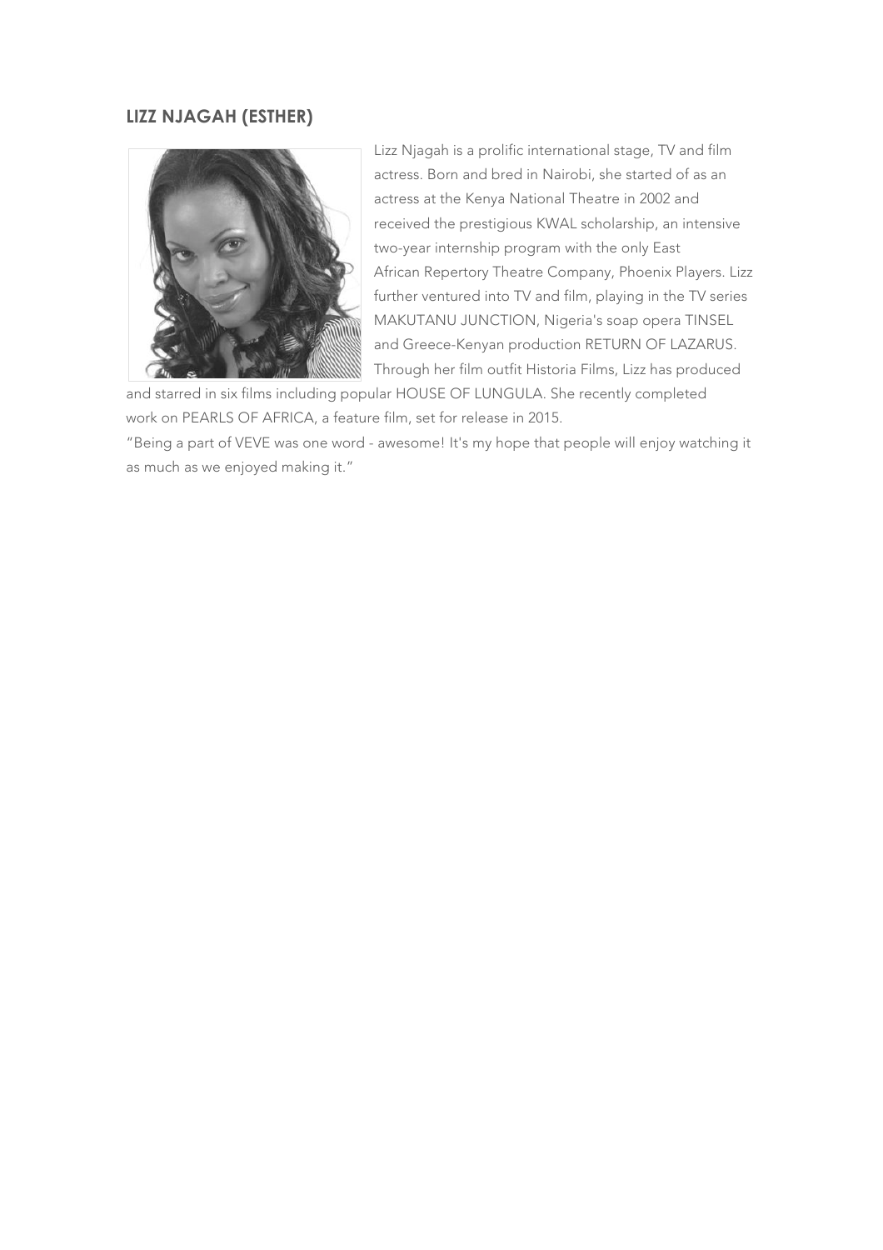#### **LIZZ NJAGAH (ESTHER)**



Lizz Njagah is a prolific international stage, TV and film actress. Born and bred in Nairobi, she started of as an actress at the Kenya National Theatre in 2002 and received the prestigious KWAL scholarship, an intensive two-year internship program with the only East African Repertory Theatre Company, Phoenix Players. Lizz further ventured into TV and film, playing in the TV series MAKUTANU JUNCTION, Nigeria's soap opera TINSEL and Greece-Kenyan production RETURN OF LAZARUS. Through her film outfit Historia Films, Lizz has produced

and starred in six films including popular HOUSE OF LUNGULA. She recently completed work on PEARLS OF AFRICA, a feature film, set for release in 2015.

"Being a part of VEVE was one word - awesome! It's my hope that people will enjoy watching it as much as we enjoyed making it."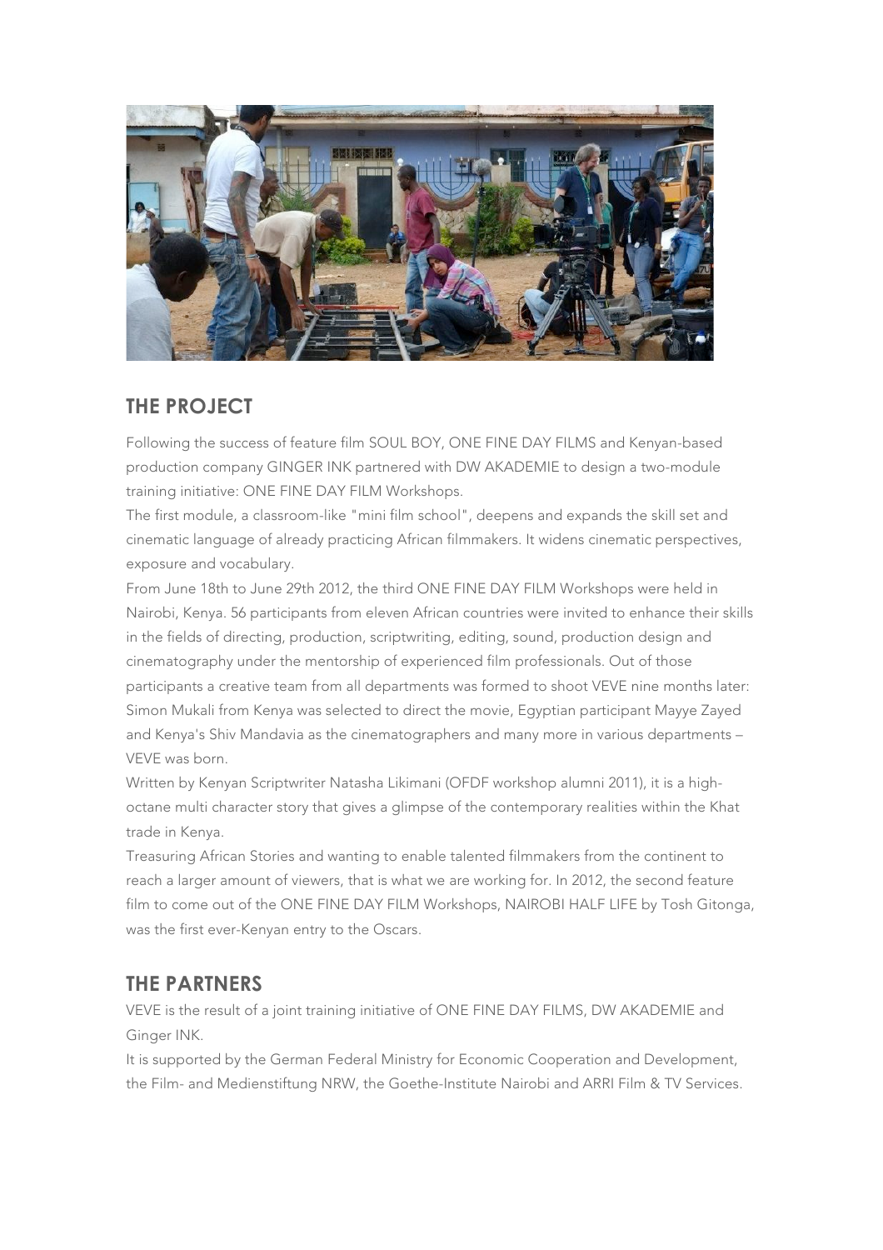

#### **THE PROJECT**

Following the success of feature film SOUL BOY, ONE FINE DAY FILMS and Kenyan-based production company GINGER INK partnered with DW AKADEMIE to design a two-module training initiative: ONE FINE DAY FILM Workshops.

The first module, a classroom-like "mini film school", deepens and expands the skill set and cinematic language of already practicing African filmmakers. It widens cinematic perspectives, exposure and vocabulary.

From June 18th to June 29th 2012, the third ONE FINE DAY FILM Workshops were held in Nairobi, Kenya. 56 participants from eleven African countries were invited to enhance their skills in the fields of directing, production, scriptwriting, editing, sound, production design and cinematography under the mentorship of experienced film professionals. Out of those participants a creative team from all departments was formed to shoot VEVE nine months later: Simon Mukali from Kenya was selected to direct the movie, Egyptian participant Mayye Zayed and Kenya's Shiv Mandavia as the cinematographers and many more in various departments – VEVE was born.

Written by Kenyan Scriptwriter Natasha Likimani (OFDF workshop alumni 2011), it is a highoctane multi character story that gives a glimpse of the contemporary realities within the Khat trade in Kenya.

Treasuring African Stories and wanting to enable talented filmmakers from the continent to reach a larger amount of viewers, that is what we are working for. In 2012, the second feature film to come out of the ONE FINE DAY FILM Workshops, NAIROBI HALF LIFE by Tosh Gitonga, was the first ever-Kenyan entry to the Oscars.

## **THE PARTNERS**

VEVE is the result of a joint training initiative of ONE FINE DAY FILMS, DW AKADEMIE and Ginger INK.

It is supported by the German Federal Ministry for Economic Cooperation and Development, the Film- and Medienstiftung NRW, the Goethe-Institute Nairobi and ARRI Film & TV Services.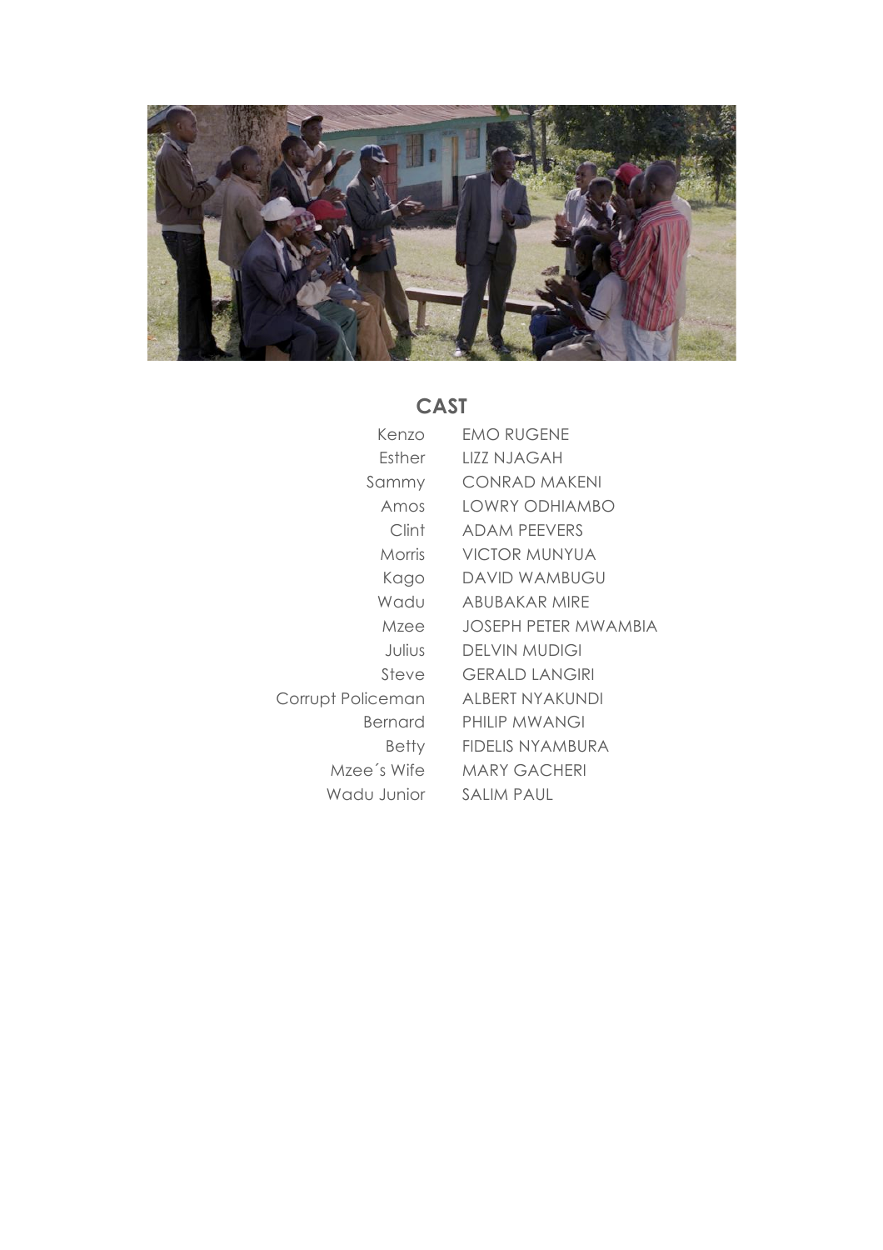

# CAST

| Kenzo             | <b>EMO RUGENE</b>            |
|-------------------|------------------------------|
| Esther            | LIZZ NJAGAH                  |
| Sammy             | <b>CONRAD MAKENI</b>         |
| Amos              | LOWRY ODHIAMBO               |
| Clint             | <b>ADAM PEEVERS</b>          |
| Morris            | <b>VICTOR MUNYUA</b>         |
| Kago              | DAVID WAMBUGU                |
| Wadu              | ABUBAKAR MIRE                |
| Mzee              | <b>JOSEPH PETER MWAMBIA</b>  |
| Julius            | DEI VIN MUDIGI               |
| Steve             | <b>GERALD LANGIRI</b>        |
| Corrupt Policeman | ALBERT NYAKUNDI              |
| Bernard           | PHILIP MWANGI                |
| Betty             | <b>FIDELIS NYAMBURA</b>      |
|                   | Mzee's Wife MARY GACHERI     |
|                   | Wadu Junior       SALIM PAUL |
|                   |                              |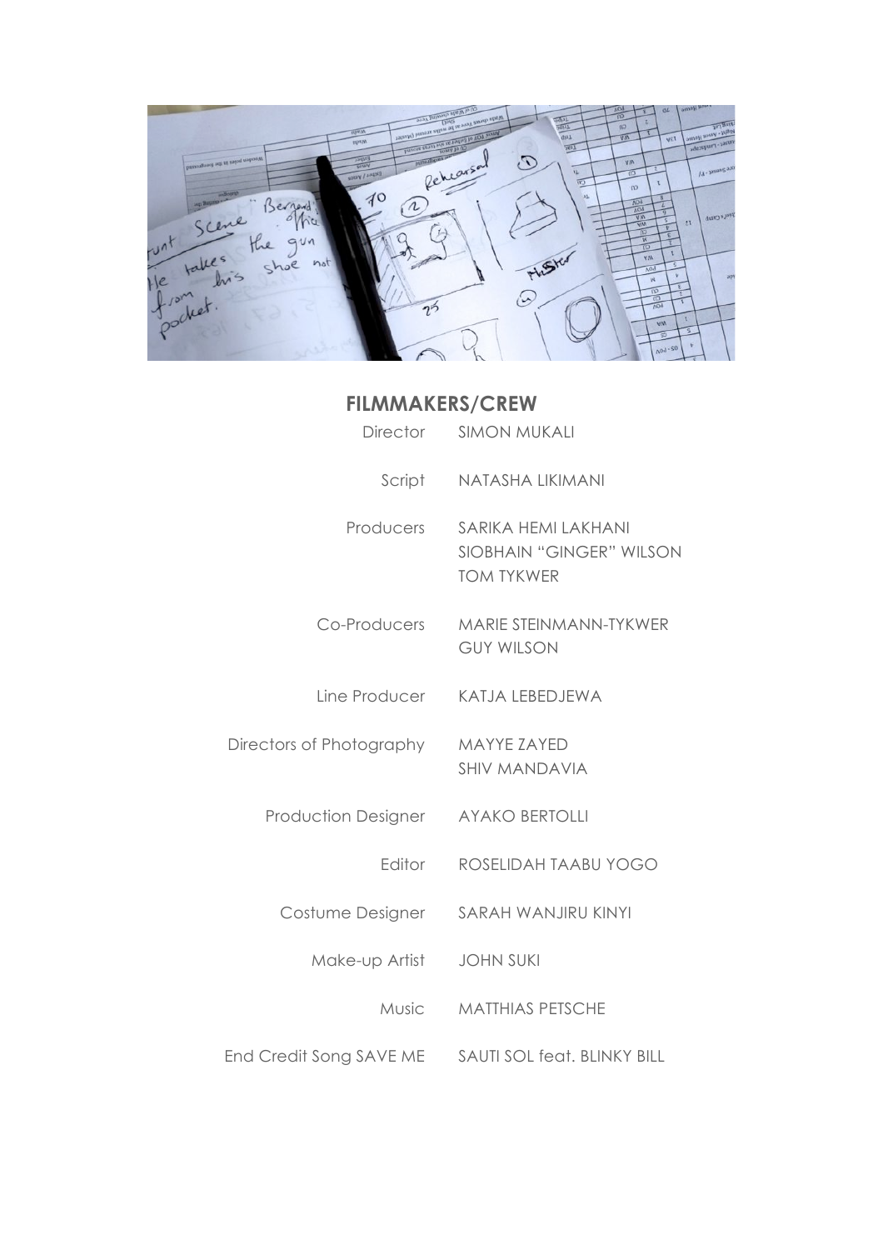

## **FILMMAKERS/CREW**

| Director                   | <b>SIMON MUKALI</b>                                                  |
|----------------------------|----------------------------------------------------------------------|
| Script                     | NATASHA LIKIMANI                                                     |
| <b>Producers</b>           | SARIKA HEMI LAKHANI<br>SIOBHAIN "GINGER" WILSON<br><b>TOM TYKWER</b> |
| Co-Producers               | MARIE STEINMANN-TYKWER<br><b>GUY WILSON</b>                          |
| Line Producer              | KATJA LEBEDJEWA                                                      |
| Directors of Photography   | <b>MAYYE ZAYED</b><br><b>SHIV MANDAVIA</b>                           |
| <b>Production Designer</b> | <b>AYAKO BERTOLLI</b>                                                |
| Editor                     | ROSELIDAH TAABU YOGO                                                 |
| Costume Designer           | SARAH WANJIRU KINYI                                                  |
| Make-up Artist             | <b>JOHN SUKI</b>                                                     |
| Music                      | <b>MATTHIAS PETSCHE</b>                                              |
| End Credit Song SAVE ME    | SAUTI SOL feat. BLINKY BILL                                          |